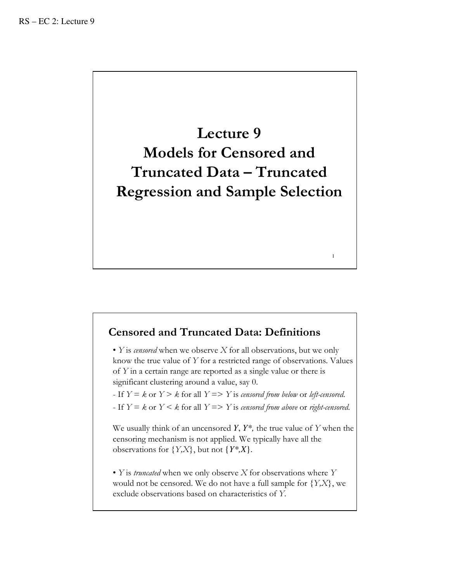

# Censored and Truncated Data: Definitions

• Y is censored when we observe  $X$  for all observations, but we only know the true value of Y for a restricted range of observations. Values of Y in a certain range are reported as a single value or there is significant clustering around a value, say 0.

1

- If  $Y = k$  or  $Y > k$  for all  $Y = > Y$  is censored from below or left-censored.

- If  $Y = k$  or  $Y \leq k$  for all  $Y \Rightarrow Y$  is censored from above or right-censored.

We usually think of an uncensored *Y*, *Y\*,* the true value of Y when the censoring mechanism is not applied. We typically have all the observations for  ${Y,X}$ , but not  ${Y^*,X}$ .

• Y is *truncated* when we only observe  $X$  for observations where  $Y$ would not be censored. We do not have a full sample for  ${Y,X}$ , we exclude observations based on characteristics of Y.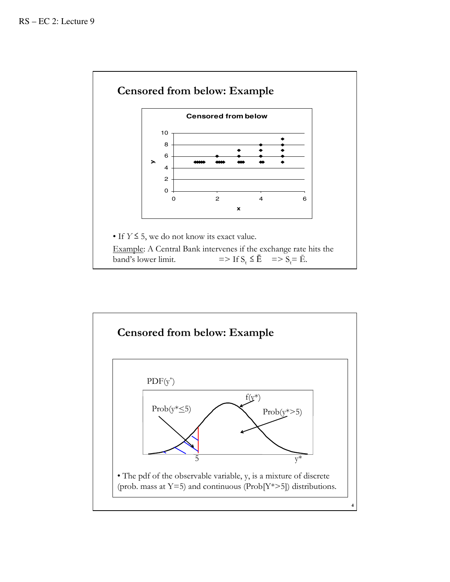

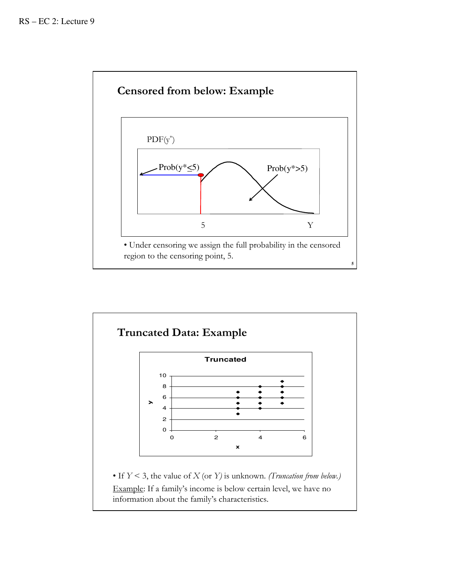

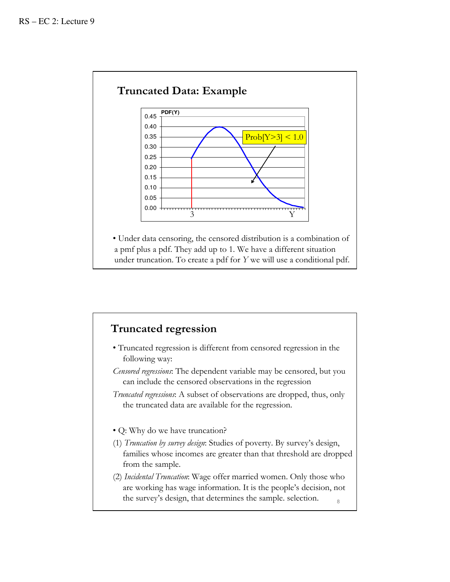

# Truncated regression

- Truncated regression is different from censored regression in the following way:
- Censored regressions: The dependent variable may be censored, but you can include the censored observations in the regression
- Truncated regressions: A subset of observations are dropped, thus, only the truncated data are available for the regression.
- Q: Why do we have truncation?
- (1) Truncation by survey design: Studies of poverty. By survey's design, families whose incomes are greater than that threshold are dropped from the sample.
- (2) Incidental Truncation: Wage offer married women. Only those who are working has wage information. It is the people's decision, not the survey's design, that determines the sample. selection.  $\frac{8}{8}$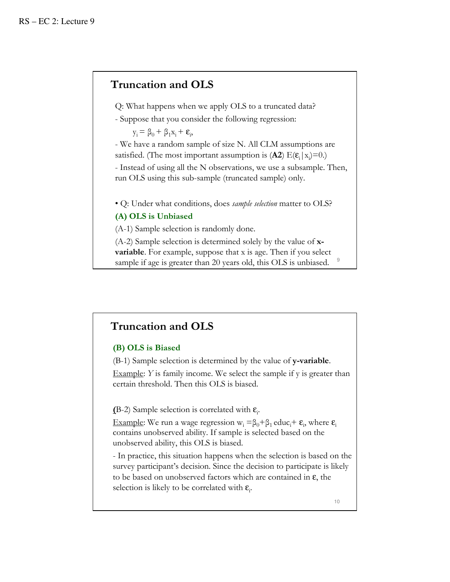# Truncation and OLS

Q: What happens when we apply OLS to a truncated data?

- Suppose that you consider the following regression:

 $y_i = \beta_0 + \beta_1 x_i + \varepsilon_i,$ 

- We have a random sample of size N. All CLM assumptions are satisfied. (The most important assumption is  $(A2) E(E_i|x_i)=0$ .)

- Instead of using all the N observations, we use a subsample. Then, run OLS using this sub-sample (truncated sample) only.

• Q: Under what conditions, does *sample selection* matter to OLS?

#### (A) OLS is Unbiased

(A-1) Sample selection is randomly done.

 $(A-2)$  Sample selection is determined solely by the value of  $x$ variable. For example, suppose that x is age. Then if you select sample if age is greater than 20 years old, this OLS is unbiased.

## Truncation and OLS

#### (B) OLS is Biased

(B-1) Sample selection is determined by the value of y-variable.

Example:  $Y$  is family income. We select the sample if  $y$  is greater than certain threshold. Then this OLS is biased.

(B-2) Sample selection is correlated with  $\epsilon_i$ .

Example: We run a wage regression  $w_i = \beta_0 + \beta_1$  educ<sub>i</sub>+  $\varepsilon_i$ , where  $\varepsilon_i$ contains unobserved ability. If sample is selected based on the unobserved ability, this OLS is biased.

- In practice, this situation happens when the selection is based on the survey participant's decision. Since the decision to participate is likely to be based on unobserved factors which are contained in ε, the selection is likely to be correlated with  $\epsilon_i$ .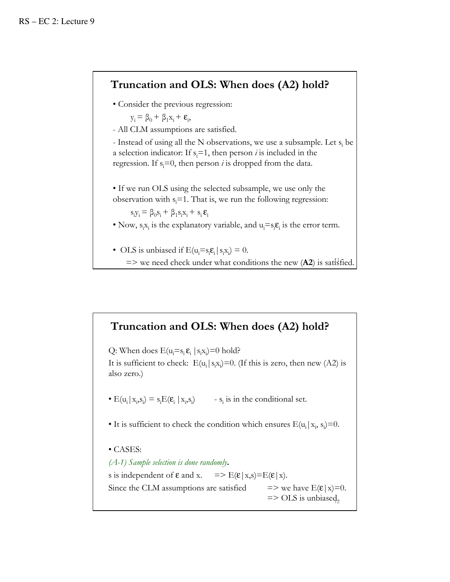# Truncation and OLS: When does (A2) hold?

• Consider the previous regression:

$$
y_i \equiv \beta_0 + \beta_1 x_i + \epsilon_i
$$

- All CLM assumptions are satisfied.

,

- Instead of using all the N observations, we use a subsample. Let  $s_i$  be a selection indicator: If  $s_i=1$ , then person *i* is included in the regression. If  $s_i=0$ , then person *i* is dropped from the data.

• If we run OLS using the selected subsample, we use only the observation with  $s_i=1$ . That is, we run the following regression:

 $s_i y_i = \beta_0 s_i + \beta_1 s_i x_i + s_i \varepsilon_i$ 

• Now,  $s_i x_i$  is the explanatory variable, and  $u_i = s_i \varepsilon_i$  is the error term.

• OLS is unbiased if  $E(u_i = s_i \varepsilon_i | s_i x_i) = 0$ .  $\Rightarrow$  we need check under what conditions the new (A2) is satisfied.

## Truncation and OLS: When does (A2) hold?

Q: When does  $E(u_i=s_i \epsilon_i | s_i x_i)=0$  hold? It is sufficient to check:  $E(u_i | s_i x_j) = 0$ . (If this is zero, then new (A2) is also zero.) •  $E(u_i | x_i, s_i) = s_i E(\varepsilon_i | x_i, s_i)$  -  $s_i$  is in the conditional set. • It is sufficient to check the condition which ensures  $E(u_i|x_i, s_i)=0$ . • CASES:  $(A-1)$  Sample selection is done randomly. s is independent of  $\varepsilon$  and x. =>  $E(\varepsilon | x, s) = E(\varepsilon | x)$ . Since the CLM assumptions are satisfied  $\implies$  we have E( $\varepsilon |x|=0$ .  $\Rightarrow$  OLS is unbiased,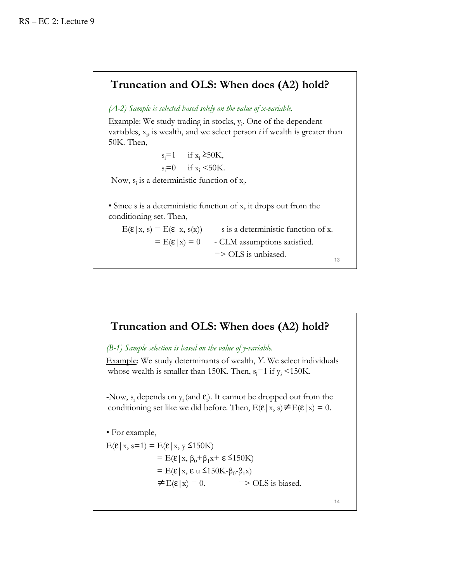## Truncation and OLS: When does (A2) hold?

 $(A-2)$  Sample is selected based solely on the value of x-variable.

Example: We study trading in stocks,  $y_i$ . One of the dependent variables,  $x_i$ , is wealth, and we select person *i* if wealth is greater than 50K. Then,

> $s_i=1$  if  $x_i \geq 50$ K,  $s_i=0$  if  $x_i < 50$ K.

-Now,  $s_i$  is a deterministic function of  $x_i$ .

• Since s is a deterministic function of x, it drops out from the conditioning set. Then,

 $E(\mathbf{\varepsilon} | x, s) = E(\mathbf{\varepsilon} | x, s(x))$  - s is a deterministic function of x.  $=$  E( $\epsilon$ |x) = 0 - CLM assumptions satisfied. => OLS is unbiased. 13

# Truncation and OLS: When does (A2) hold?

(B-1) Sample selection is based on the value of y-variable.

Example: We study determinants of wealth, Y. We select individuals whose wealth is smaller than 150K. Then,  $s_i = 1$  if  $y_i \le 150$ K.

-Now,  $s_i$  depends on  $y_i$  (and  $\varepsilon_j$ ). It cannot be dropped out from the conditioning set like we did before. Then,  $E(\varepsilon | x, s) \neq E(\varepsilon | x) = 0$ .

• For example,

 $E(\varepsilon|x, s=1) = E(\varepsilon|x, y \le 150K)$ =  $E(\varepsilon | x, \beta_0 + \beta_1 x + \varepsilon \le 150K)$ =  $E(\varepsilon | x, \varepsilon \le 150K-\beta_0-\beta_1x)$  $\neq E(\varepsilon|x) = 0.$  => OLS is biased.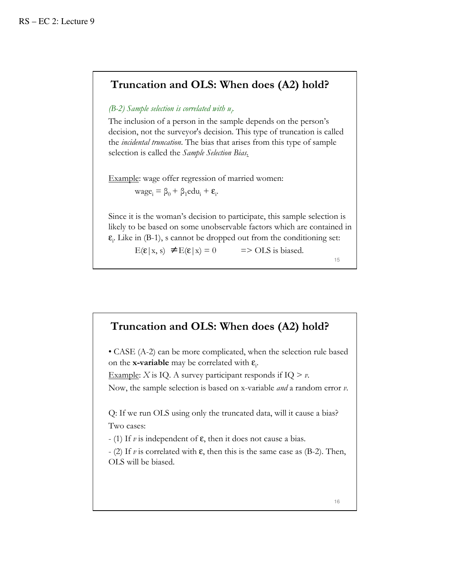## Truncation and OLS: When does (A2) hold?

### (B-2) Sample selection is correlated with  $u_i$

The inclusion of a person in the sample depends on the person's decision, not the surveyor's decision. This type of truncation is called the incidental truncation. The bias that arises from this type of sample selection is called the Sample Selection Bias.

Example: wage offer regression of married women:

 $\text{wage}_{i} = \beta_0 + \beta_1 \text{edu}_{i} + \varepsilon_i.$ 

Since it is the woman's decision to participate, this sample selection is likely to be based on some unobservable factors which are contained in  $\epsilon_i$ . Like in (B-1), s cannot be dropped out from the conditioning set:

 $E(\mathbf{\varepsilon} | \mathbf{x}, \mathbf{s}) \neq E(\mathbf{\varepsilon} | \mathbf{x}) = 0$  => OLS is biased.

15

# Truncation and OLS: When does (A2) hold?

• CASE (A-2) can be more complicated, when the selection rule based on the **x-variable** may be correlated with  $\epsilon_i$ .

Example: *X* is IQ. A survey participant responds if IQ  $> v$ . Now, the sample selection is based on x-variable *and* a random error *v*.

Q: If we run OLS using only the truncated data, will it cause a bias? Two cases:

- (1) If  $\nu$  is independent of  $\varepsilon$ , then it does not cause a bias.

- (2) If v is correlated with  $\varepsilon$ , then this is the same case as (B-2). Then, OLS will be biased.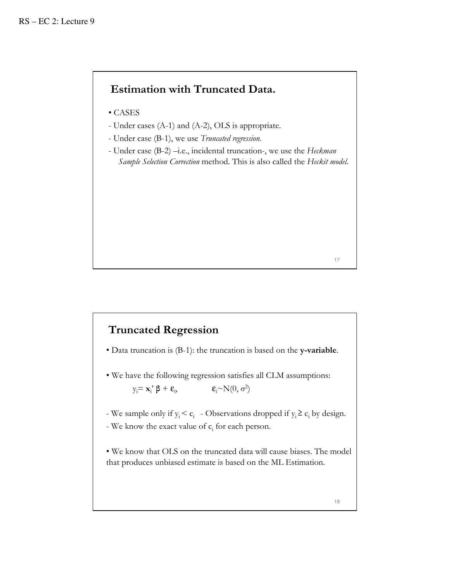# Estimation with Truncated Data.

- CASES
- Under cases (A-1) and (A-2), OLS is appropriate.
- Under case (B-1), we use Truncated regression.
- Under case (B-2) –i.e., incidental truncation-, we use the Heckman Sample Selection Correction method. This is also called the Heckit model.

17

# Truncated Regression

- Data truncation is (B-1): the truncation is based on the y-variable.
- We have the following regression satisfies all CLM assumptions:  $y_i = \mathbf{x}_i^{\prime} \boldsymbol{\beta} + \boldsymbol{\epsilon}_i, \qquad \qquad \boldsymbol{\epsilon}_i \sim N(0, \sigma^2)$
- We sample only if  $y_i < c_i$  Observations dropped if  $y_i \ge c_i$  by design.
- We know the exact value of  $c_i$  for each person.

• We know that OLS on the truncated data will cause biases. The model that produces unbiased estimate is based on the ML Estimation.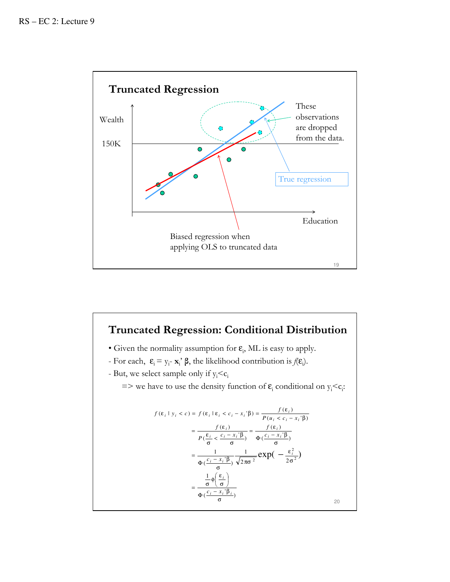

# Truncated Regression: Conditional Distribution

- Given the normality assumption for  $\varepsilon$ <sub>i</sub>, ML is easy to apply.
- For each,  $\epsilon_i = y_i \mathbf{x}_i$   $\beta$ , the likelihood contribution is  $f(\epsilon_i)$ .
- But, we select sample only if  $y_i < c_i$

 $\Rightarrow$  we have to use the density function of  $\varepsilon_i$  conditional on  $y_i < c_i$ :

$$
f(\varepsilon_i \mid y_i < c) = f(\varepsilon_i \mid \varepsilon_i < c_i - x_i \mid \beta) = \frac{f(\varepsilon_i)}{P(u_i < c_i - x_i \mid \beta)}
$$
\n
$$
= \frac{f(\varepsilon_i)}{P(\frac{\varepsilon_i}{\sigma} < \frac{c_i - x_i \mid \beta}{\sigma})} = \frac{f(\varepsilon_i)}{\Phi(\frac{c_i - x_i \mid \beta}{\sigma})}
$$
\n
$$
= \frac{1}{\Phi(\frac{c_i - x_i \mid \beta}{\sigma})} \frac{1}{\sqrt{2\pi\sigma^2}} \exp(-\frac{\varepsilon_i^2}{2\sigma^2})
$$
\n
$$
= \frac{\frac{1}{\sigma} \phi(\frac{\varepsilon_i}{\sigma})}{\Phi(\frac{c_i - x_i \mid \beta_i}{\sigma})}
$$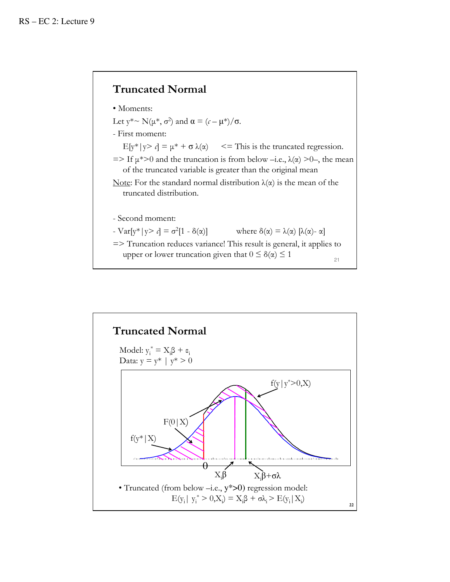# Truncated Normal



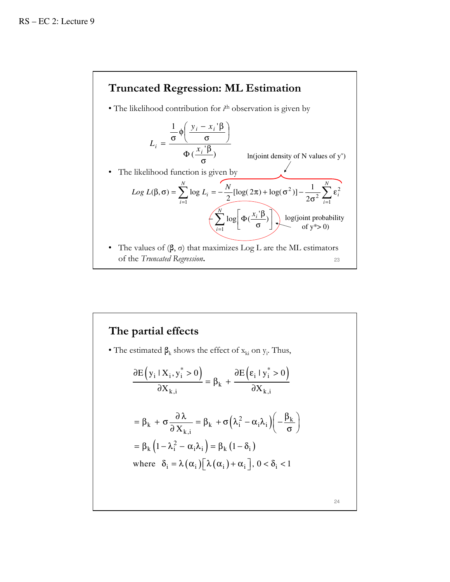

### The partial effects • The estimated  $\beta_k$  shows the effect of  $x_{ki}$  on  $y_i$ . Thus, 24  $(y_i | X_i, y_i^* > 0)$   $\partial E (\varepsilon_i | y_i^* > 0)$  $\alpha_k + \sigma \frac{\partial \lambda}{\partial X_{i,j}} = \beta_k + \sigma \left( \lambda_i^2 - \alpha_i \lambda_i \right) \left( -\frac{\beta_k}{\sigma_k} \right)$  $(1 - \lambda_i^2 - \alpha_i \lambda_i) = \beta_k (1 - \delta_i)$ where  $\delta_i = \lambda(\alpha_i) [\lambda(\alpha_i) + \alpha_i], 0 < \delta_i < 1$  $i^{T}$ i,  $y_i > 0$   $\qquad \qquad 0 \leq |\epsilon_i| y_i$ k k,i  $\boldsymbol{\sigma} \mathbf{A}_{k,i}$ =  $\beta_k + \sigma \frac{\partial \lambda}{\partial X_{k,i}} = \beta_k + \sigma \left( \lambda_i^2 - \alpha_i \lambda_i \right) \left( -\frac{\beta_k}{\sigma} \right)$  $= \beta_{k} \left(1 - \lambda_{i}^{2} - \alpha_{i} \lambda_{i}\right) = \beta_{k} \left(1 - \delta_{i}\right)$  $E(y_i | X_i, y_i^* > 0)$   $\partial E(\varepsilon_i | y_i^* > 0)$  $X_{k,i}$   $\partial X$  $\partial E(y_i | X_i, y_i^* > 0)$   $\partial E(\varepsilon_i | y_i^*)$  $= \beta_k +$  $\partial X_{k,i}$  and  $\partial X_{k,j}$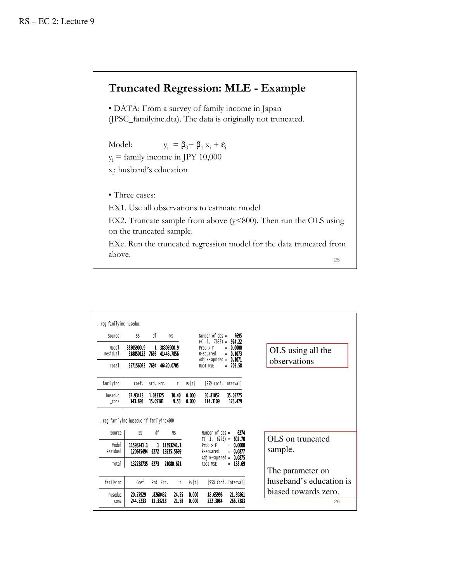# Truncated Regression: MLE - Example

• DATA: From a survey of family income in Japan (JPSC\_familyinc.dta). The data is originally not truncated.

Model:  $y_i = \beta_0 + \beta_1 x_i + \varepsilon_i$  $y_i$  = family income in JPY 10,000 x<sub>i</sub>: husband's education

• Three cases:

EX1. Use all observations to estimate model

EX2. Truncate sample from above (y<800). Then run the OLS using on the truncated sample.

EXe. Run the truncated regression model for the data truncated from above. 25

| Source                        | SS                                             | df                   | MS                         |                | Number of $obs =$                                                   | 7695                               |                   |                             |
|-------------------------------|------------------------------------------------|----------------------|----------------------------|----------------|---------------------------------------------------------------------|------------------------------------|-------------------|-----------------------------|
| Mode1<br>Residual             | 38305900.9<br>318850122                        | $\mathbf{1}$<br>7693 | 38305900.9<br>41446.7856   |                | $F(1, 7693) =$<br>Prob > F<br>R-squared<br>Adj R-squared = $0.1071$ | 924.22<br>$= 0.0000$<br>$= 0.1073$ | OLS using all the |                             |
| Total                         | 357156023 7694                                 |                      | 46420.0705                 |                | Root MSE                                                            | $= 203.58$                         |                   | observations                |
| familyinc                     | Coef.                                          | Std. Err.            | t                          | P> t           | [95% Conf. Interval]                                                |                                    |                   |                             |
|                               |                                                |                      |                            |                |                                                                     |                                    |                   |                             |
| huseduc<br>$\_cons$           | 32.93413<br>143.895                            | 1.083325<br>15.09181 | 30.40<br>9.53              | 0.000<br>0.000 | 30.81052<br>114, 3109                                               | 35.05775<br>173.479                |                   |                             |
| Source                        | . reg familyinc huseduc if familyinc<800<br>SS | df                   | <b>MS</b>                  |                | Number of $obs =$                                                   | 6274                               |                   |                             |
| Mode <sub>1</sub><br>Residual | 11593241.1<br>120645494 6272                   |                      | 1 11593241.1<br>19235.5699 |                | $F(1, 6272) = 602.70$<br>Prob > F<br>R-squared                      | $= 0.0000$<br>$= 0.0877$           |                   | OLS on truncated<br>sample. |
| Total                         | 132238735 6273                                 |                      | 21080.621                  |                | Adj R-squared = $0.0875$<br>Root MSE                                | $= 138.69$                         |                   | The parameter on            |
| familyinc                     | Coef.                                          |                      | Std. Err.<br>t             | P> t           |                                                                     | [95% Conf. Interval]               |                   | huseband's education is     |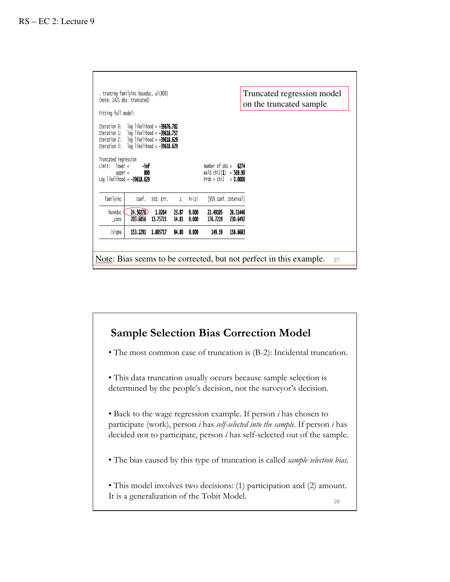|                                                          | . truncreg familyinc huseduc, ul(800)<br>(note: 1421 obs. truncated)                                                                                    |                    |                |                |                                                                                    |                      | Truncated regression model<br>on the truncated sample |
|----------------------------------------------------------|---------------------------------------------------------------------------------------------------------------------------------------------------------|--------------------|----------------|----------------|------------------------------------------------------------------------------------|----------------------|-------------------------------------------------------|
| Fitting full model:                                      |                                                                                                                                                         |                    |                |                |                                                                                    |                      |                                                       |
| Iteration 0:<br>Iteration 1:<br>Iteration 3:             | log likelihood = <b>-39676.782</b><br>log likelihood = <b>-39618.757</b><br>Iteration 2: $log$ likelihood = $-39618.629$<br>log likelihood = -39618.629 |                    |                |                |                                                                                    |                      |                                                       |
| Truncated regression<br>Limit:<br>$lower =$<br>$upper =$ | -inf<br>800<br>Log likelihood = -39618.629                                                                                                              |                    |                |                | Number of obs = $6274$<br>Wald $\text{chi2}(1) = 569.90$<br>Prob > chi2 = $0.0000$ |                      |                                                       |
| familyinc                                                | Coef.                                                                                                                                                   | Std. Err.          | $\mathbf{Z}$   | P >  Z         | [95% Conf. Interval]                                                               |                      |                                                       |
|                                                          | 24.50276                                                                                                                                                | 1.0264<br>13.75721 | 23.87<br>14.81 | 0.000<br>0.000 | 22.49105<br>176.7219                                                               | 26.51446<br>230.6492 |                                                       |
| huseduc<br>$\_cons$                                      | 203.6856                                                                                                                                                |                    |                |                |                                                                                    |                      |                                                       |

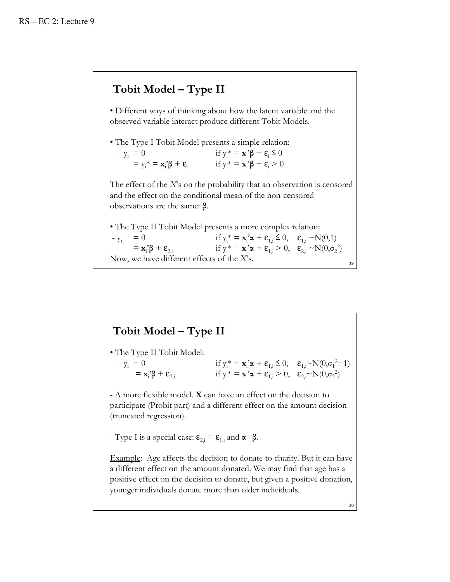# Tobit Model – Type II

• Different ways of thinking about how the latent variable and the observed variable interact produce different Tobit Models.

• The Type I Tobit Model presents a simple relation:

| $-y_i = 0$                                                              | if $y_i^* = \mathbf{x}_i^* \boldsymbol{\beta} + \boldsymbol{\epsilon}_i \leq 0$ |
|-------------------------------------------------------------------------|---------------------------------------------------------------------------------|
| $= y_i^* = \mathbf{x}_i^2 \boldsymbol{\beta} + \boldsymbol{\epsilon}_i$ | if $y_i^* = \mathbf{x}_i^*\boldsymbol{\beta} + \boldsymbol{\epsilon}_i > 0$     |

The effect of the  $X$ 's on the probability that an observation is censored and the effect on the conditional mean of the non-censored observations are the same: β.

• The Type II Tobit Model presents a more complex relation:  $-y_i = 0$  if  $y_i^* = \mathbf{x}_i \cdot \mathbf{z} + \mathbf{\varepsilon}_{1,i} \le 0$ ,  $\mathbf{\varepsilon}_{1,i} \sim N(0,1)$  $=$   $\mathbf{x}_i^{\prime} \boldsymbol{\beta} + \boldsymbol{\epsilon}_{2,i}$  if  $y_i$  $* = \mathbf{x}_i \mathbf{\alpha} + \mathbf{\varepsilon}_{1,i} > 0$ ,  $\mathbf{\varepsilon}_{2,i} \sim N(0, \sigma_2^2)$ Now, we have different effects of the  $X$ 's.

# Tobit Model – Type II

• The Type II Tobit Model:  $-y_i = 0$  if  $y_i$  $* = \mathbf{x}_i \mathbf{\alpha} + \mathbf{\varepsilon}_{1,i} \leq 0$ ,  $\mathbf{\varepsilon}_{1,i} \sim N(0, \sigma_1^2 = 1)$  $=$   $\mathbf{x}_i^{\cdot} \boldsymbol{\beta} + \boldsymbol{\epsilon}_{2,i}$  if  $y_i$  $* = \mathbf{x}_i \mathbf{\alpha} + \mathbf{\varepsilon}_{1,i} > 0, \quad \mathbf{\varepsilon}_{2,i} \sim N(0, \sigma_2^2)$ 

- A more flexible model. X can have an effect on the decision to participate (Probit part) and a different effect on the amount decision (truncated regression).

- Type I is a special case:  $\epsilon_{2i} = \epsilon_{1i}$  and  $\alpha = \beta$ .

Example: Age affects the decision to donate to charity. But it can have a different effect on the amount donated. We may find that age has a positive effect on the decision to donate, but given a positive donation, younger individuals donate more than older individuals.

**30**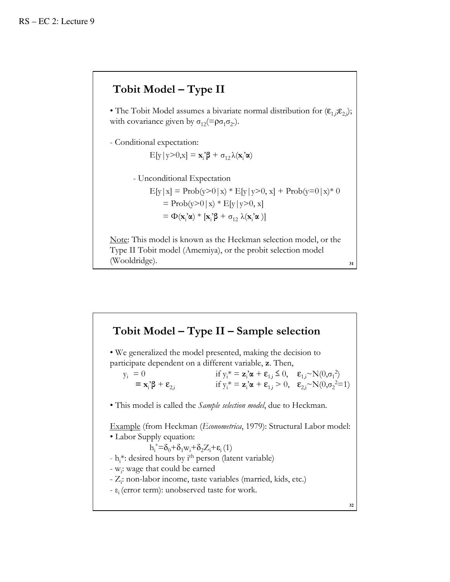# Tobit Model – Type II

• The Tobit Model assumes a bivariate normal distribution for  $(\epsilon_{1,i}, \epsilon_{2,i})$ ; with covariance given by  $\sigma_{12} = \rho \sigma_1 \sigma_2$ .

- Conditional expectation:

$$
E[y|y>0,x] = \mathbf{x}_i^{\prime} \boldsymbol{\beta} + \sigma_{12} \lambda(\mathbf{x}_i^{\prime} \boldsymbol{\alpha})
$$

- Unconditional Expectation

 $E[y|x] = Prob(y>0|x) * E[y|y>0, x] + Prob(y=0|x) * 0$  $=$  Prob(y>0|x) \* E[y|y>0, x] =  $\Phi(\mathbf{x}_i \, \alpha) * [\mathbf{x}_i \beta + \sigma_{12} \lambda(\mathbf{x}_i \, \alpha)]$ 

Note: This model is known as the Heckman selection model, or the Type II Tobit model (Amemiya), or the probit selection model (Wooldridge).

**31**

# **32** • We generalized the model presented, making the decision to participate dependent on a different variable, z. Then,  $y_i = 0$  $* = \mathbf{z}_i \mathbf{\alpha} + \mathbf{\varepsilon}_{1,i} \leq 0$ ,  $\mathbf{\varepsilon}_{1,i} \sim N(0, \sigma_1^2)$  $=$   $\mathbf{x}_i^{\cdot} \boldsymbol{\beta} + \boldsymbol{\epsilon}_{2,i}$  if  $y_i$  $* = z_i^{\prime} \alpha + \varepsilon_{1,i} > 0, \quad \varepsilon_{2,i}^{\prime} {\sim} N(0, \sigma_2^{\prime} = 1)$ • This model is called the Sample selection model, due to Heckman. Example (from Heckman (Econometrica, 1979): Structural Labor model: • Labor Supply equation:  $h_i^* = \delta_0 + \delta_1 w_i + \delta_2 Z_i + \varepsilon_i (1)$ - h<sub>i</sub>\*: desired hours by i<sup>th</sup> person (latent variable) - w<sub>i</sub>: wage that could be earned - Z<sub>i</sub>: non-labor income, taste variables (married, kids, etc.) - ε<sub>i</sub> (error term): unobserved taste for work. Tobit Model – Type II – Sample selection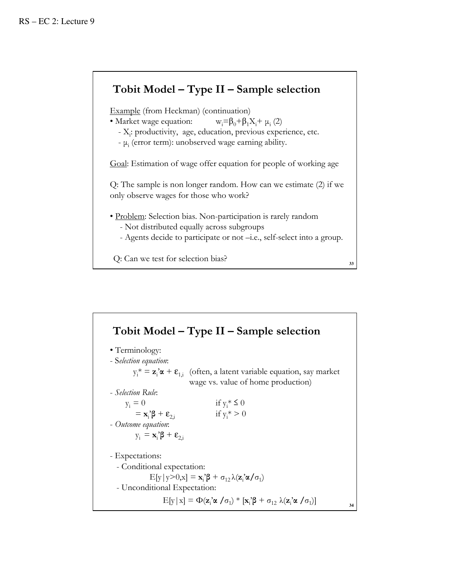# Tobit Model – Type II – Sample selection

Example (from Heckman) (continuation)

• Market wage equation:  $w_i = \beta_0 + \beta_1 X_i + \mu_i (2)$ 

- X<sub>i</sub>: productivity, age, education, previous experience, etc.

 $-\mu_i$  (error term): unobserved wage earning ability.

Goal: Estimation of wage offer equation for people of working age

Q: The sample is non longer random. How can we estimate (2) if we only observe wages for those who work?

- Problem: Selection bias. Non-participation is rarely random
	- Not distributed equally across subgroups
	- Agents decide to participate or not –i.e., self-select into a group.

**33**

Q: Can we test for selection bias?

**34** • Terminology: - Selection equation:  $y_i^* = z_i^* \alpha + \varepsilon_{1,i}$  (often, a latent variable equation, say market wage vs. value of home production) - Selection Rule:  $y_i = 0$ if  $y_i^* \leq 0$  $=$   $\mathbf{x}_i^{\prime} \boldsymbol{\beta} + \boldsymbol{\epsilon}_{2i}$  $\int \mathbf{B} + \mathbf{\varepsilon}_{2,i}$  if  $y_i^* > 0$ - Outcome equation:  $y_i = \mathbf{x}_i \mathbf{\beta} + \mathbf{\varepsilon}_{2,i}$ - Expectations: - Conditional expectation:  $E[y|y>0,x] = \mathbf{x}_i^2 \boldsymbol{\beta} + \sigma_{12} \lambda(\mathbf{z}_i^2 \boldsymbol{\alpha}/\sigma_1)$ - Unconditional Expectation:  $E[y|x] = \Phi(\mathbf{z}_i \cdot \mathbf{\alpha} / \sigma_1) * [\mathbf{x}_i \cdot \mathbf{\beta} + \sigma_{12} \lambda(\mathbf{z}_i \cdot \mathbf{\alpha} / \sigma_1)]$ Tobit Model – Type II – Sample selection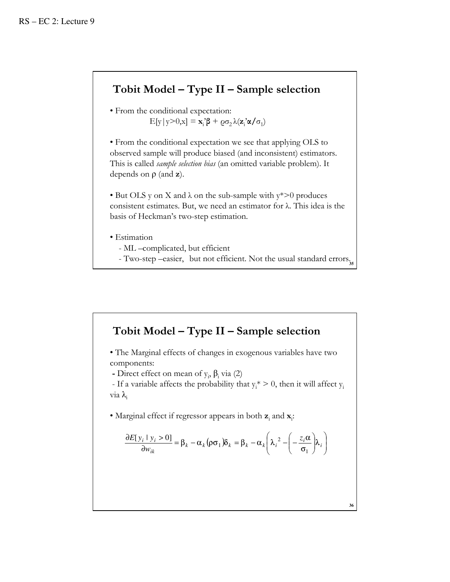# Tobit Model – Type II – Sample selection

• From the conditional expectation:  $E[y|y>0,x] = \mathbf{x}_i^2 \boldsymbol{\beta} + \varrho \sigma_2 \lambda(\mathbf{z}_i^2 \boldsymbol{\alpha}/\sigma_1)$ 

• From the conditional expectation we see that applying OLS to observed sample will produce biased (and inconsistent) estimators. This is called *sample selection bias* (an omitted variable problem). It depends on  $\rho$  (and  $z$ ).

• But OLS y on X and  $\lambda$  on the sub-sample with  $y^* > 0$  produces consistent estimates. But, we need an estimator for λ. This idea is the basis of Heckman's two-step estimation.

• Estimation

- ML –complicated, but efficient
- Two-step –easier, but not efficient. Not the usual standard errors.

# Tobit Model – Type II – Sample selection

• The Marginal effects of changes in exogenous variables have two components:

- Direct effect on mean of  $y_i$ ,  $\beta_i$  via (2)

- If a variable affects the probability that  $y_i^* > 0$ , then it will affect  $y_i$  $via$  λ

• Marginal effect if regressor appears in both  $z_i$  and  $x_i$ :

$$
\frac{\partial E[y_i \mid y_i > 0]}{\partial w_{ik}} = \beta_k - \alpha_k (\rho \sigma_1) \delta_k = \beta_k - \alpha_k \left( \lambda_i^2 - \left( -\frac{z_i \alpha}{\sigma_1} \right) \lambda_i \right)
$$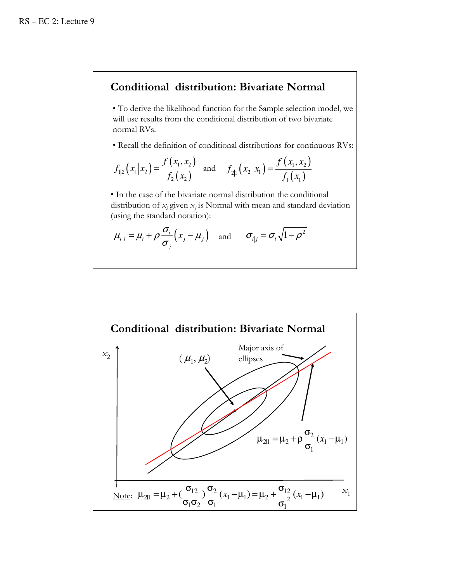# Conditional distribution: Bivariate Normal

• To derive the likelihood function for the Sample selection model, we will use results from the conditional distribution of two bivariate normal RVs.

• Recall the definition of conditional distributions for continuous RVs:

$$
f_{1|2}(x_1|x_2) = \frac{f(x_1, x_2)}{f_2(x_2)}
$$
 and  $f_{2|1}(x_2|x_1) = \frac{f(x_1, x_2)}{f_1(x_1)}$ 

• In the case of the bivariate normal distribution the conditional distribution of  $x_i$  given  $x_j$  is Normal with mean and standard deviation (using the standard notation):

$$
\mu_{i|j} = \mu_i + \rho \frac{\sigma_i}{\sigma_j} (x_j - \mu_j)
$$
 and  $\sigma_{i|j} = \sigma_i \sqrt{1 - \rho^2}$ 

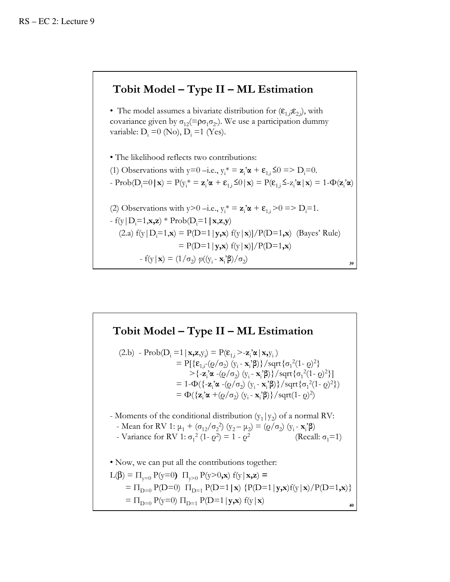# Tobit Model – Type II – ML Estimation

• The model assumes a bivariate distribution for  $(\epsilon_1;\epsilon_2)$ , with covariance given by  $\sigma_{12}$ (= $\rho \sigma_1 \sigma_2$ .). We use a participation dummy variable:  $D_i = 0$  (No),  $D_i = 1$  (Yes).

**39** • The likelihood reflects two contributions: (1) Observations with  $y=0$  –i.e.,  $y_i^* = z_i^* \alpha + \varepsilon_{1,i} \leq 0 \Rightarrow D_i=0$ . - Prob(D<sub>i</sub>=0 | **x**) = P(y<sub>i</sub><sup>\*</sup> = **z**<sub>i</sub>'**α** + **ε**<sub>1,i</sub> ≤0 | **x**) = P(**ε**<sub>1,i</sub> ≤-z<sub>i</sub>'**α** | **x**) = 1-Φ(**z**<sub>i</sub>'**α**) (2) Observations with  $y>0$  –i.e.,  $y_i^* = z_i^* \alpha + \varepsilon_{1,i} > 0 \Rightarrow D_i = 1$ . - f(y|D<sub>i</sub>=1,**x,z**) \* Prob(D<sub>i</sub>=1 |**x**,**z**,**y**) (2.a)  $f(y|D_i=1, x) = P(D=1|y, x) f(y|x)/P(D=1, x)$  (Bayes' Rule)  $= P(D=1|y,x) f(y|x)/P(D=1,x)$ - f(y|**x**) = (1/ $\sigma_2$ )  $\varphi$ ((y<sub>i</sub> - **x**<sub>i</sub>'**β**)/ $\sigma_2$ )

# **40**  $(2.b)$  - Prob $(D_i = 1 | \mathbf{x}, \mathbf{z}, y_i) = P(\varepsilon_{1,i} > -\mathbf{z}_i \alpha | \mathbf{x}, y_i)$ = P[{**ε**<sub>1,i</sub>-( $\varrho/\sigma_2$ ) (y<sub>i</sub> - **x**<sub>i</sub>'β)}/sqrt{ $\sigma_1^2(1-\varrho)^2$ } > {-**z**<sub>i</sub>'α -(<u>ρ</u>/σ<sub>2</sub>) (y<sub>i</sub> - **x**<sub>i</sub>'β)}/sqrt{σ<sub>1</sub><sup>2</sup>(1- *ρ*)<sup>2</sup>}] = 1-Φ({-**z**<sub>i</sub>'α -( $Q / σ_2$ ) (y<sub>i</sub> - **x**<sub>i</sub>'β)}/sqrt{σ<sub>1</sub><sup>2</sup>(1-  $Q$ )<sup>2</sup>}) =  $\Phi({\mathbf{z}_i}^{\prime}\boldsymbol{\alpha} + (\varrho/\sigma_2) (y_i - \mathbf{x}_i^{\prime}\boldsymbol{\beta}))/\operatorname{sqrt}(1-\varrho)^2)$ - Moments of the conditional distribution  $(y_1|y_2)$  of a normal RV: - Mean for RV 1:  $\mu_1 + (\sigma_{12}/\sigma_2^2)$  (y<sub>2</sub> -  $\mu_2$ ) = ( $\varrho/\sigma_2$ ) (y<sub>i</sub> - **x**<sub>i</sub>' $\beta$ ) - Variance for RV 1:  $\sigma_1^2$  (1-  $\varrho^2$ ) (Recall:  $\sigma_1$ =1) • Now, we can put all the contributions together:  $L(β) = Π_{v=0} P(y=0) Π_{v>0} P(y>0,x) f(y|x,z) =$  $= \Pi_{D=0} P(D=0) \Pi_{D=1} P(D=1 | \mathbf{x}) \{ P(D=1 | \mathbf{y}, \mathbf{x}) f(\mathbf{y} | \mathbf{x}) / P(D=1, \mathbf{x}) \}$  $=\Pi_{\mathbf{D}=0}$  P(y=0)  $\Pi_{\mathbf{D}=1}$  P(D=1|**y,x**) f(y|**x**) Tobit Model – Type II – ML Estimation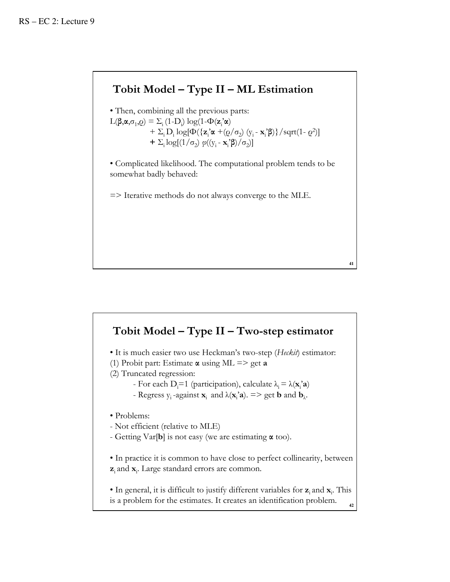# Tobit Model – Type II – ML Estimation

• Then, combining all the previous parts:  $L(\beta, \alpha, \sigma_1, \rho) = \sum_i (1-D_i) \log(1-\Phi(\mathbf{z}_i \alpha))$ + Σ<sub>i</sub> D<sub>i</sub> log[Φ({**z**<sub>i</sub>'α +(*o*/σ<sub>2</sub>) (y<sub>i</sub> - **x**<sub>i</sub>'β)}/sqrt(1- *o*<sup>2</sup>)] +  $\Sigma_i \log[(1/\sigma_2) \varphi((y_i - \mathbf{x}_i^2 \boldsymbol{\beta})/\sigma_2)]$ 

• Complicated likelihood. The computational problem tends to be somewhat badly behaved:

=> Iterative methods do not always converge to the MLE.

## Tobit Model – Type II – Two-step estimator

**41**

• It is much easier two use Heckman's two-step (Heckit) estimator:

- (1) Probit part: Estimate  $\alpha$  using ML => get  $\alpha$
- (2) Truncated regression:
	- For each D<sub>i</sub>=1 (participation), calculate  $\lambda_i = \lambda(\mathbf{x}_i \cdot \mathbf{a})$
	- Regress  $y_i$ -against  $\mathbf{x}_i$  and  $\lambda(\mathbf{x}_i \cdot \mathbf{a})$ .  $\Rightarrow$  get **b** and  $\mathbf{b}_\lambda$ .

• Problems:

- Not efficient (relative to MLE)

- Getting Var[b] is not easy (we are estimating  $\alpha$  too).

• In practice it is common to have close to perfect collinearity, between  $\mathbf{z}_i$  and  $\mathbf{x}_i$ . Large standard errors are common.

**42** • In general, it is difficult to justify different variables for  $z_i$  and  $x_i$ . This is a problem for the estimates. It creates an identification problem.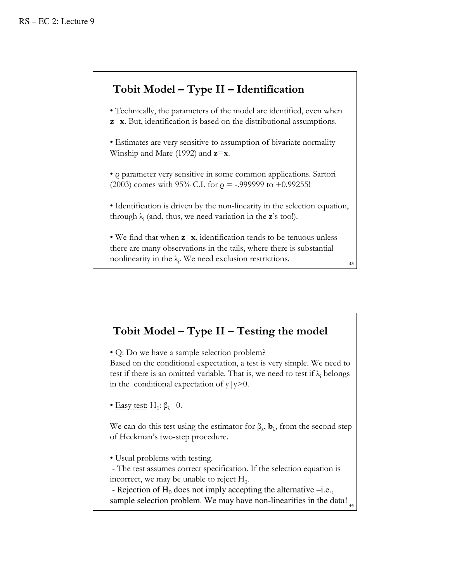# Tobit Model – Type II – Identification

• Technically, the parameters of the model are identified, even when z=x. But, identification is based on the distributional assumptions.

• Estimates are very sensitive to assumption of bivariate normality - Winship and Mare (1992) and  $z=x$ .

• ρ parameter very sensitive in some common applications. Sartori (2003) comes with 95% C.I. for  $\rho = -0.999999$  to  $+0.99255!$ 

• Identification is driven by the non-linearity in the selection equation, through  $\lambda_i$  (and, thus, we need variation in the **z**'s too!).

• We find that when  $z=x$ , identification tends to be tenuous unless there are many observations in the tails, where there is substantial nonlinearity in the  $\lambda_i$ . We need exclusion restrictions.

**43**

# Tobit Model – Type II – Testing the model

• Q: Do we have a sample selection problem?

Based on the conditional expectation, a test is very simple. We need to test if there is an omitted variable. That is, we need to test if  $\lambda_i$  belongs in the conditional expectation of  $y|y>0$ .

• <u>Easy test</u>: H<sub>0</sub>:  $\beta_{\lambda} = 0$ .

We can do this test using the estimator for  $\beta_{\lambda}$ ,  $\mathbf{b}_{\lambda}$ , from the second step of Heckman's two-step procedure.

• Usual problems with testing.

- The test assumes correct specification. If the selection equation is incorrect, we may be unable to reject  $H_0$ .

sample selection problem. We may have non-linearities in the data! - Rejection of  $H_0$  does not imply accepting the alternative  $-i.e.,$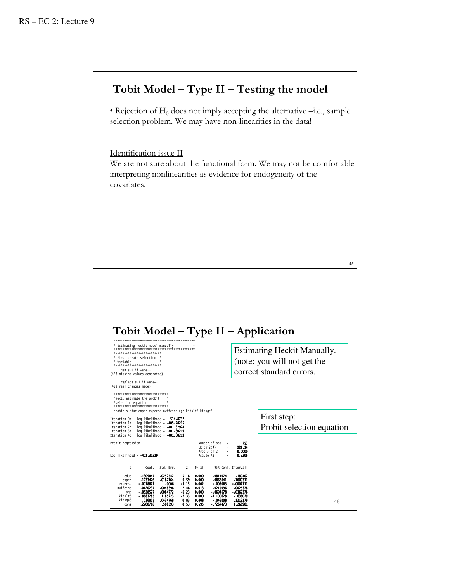# Tobit Model – Type II – Testing the model

• Rejection of  $H_0$  does not imply accepting the alternative –i.e., sample selection problem. We may have non-linearities in the data!

Identification issue II

We are not sure about the functional form. We may not be comfortable interpreting nonlinearities as evidence for endogeneity of the covariates.

| replace s=1 if wage~=.<br>(428 real changes made)<br>********************************<br>*Next, estimate the probit<br>*selection equation<br>********************************<br>. probit s educ exper expersq nwifeinc age kidslt6 kidsge6<br>Iteration 0:<br>Iteration 1: | ÷                                                                                                                |                        |                                                                                                      |                                   |         |                                          |
|------------------------------------------------------------------------------------------------------------------------------------------------------------------------------------------------------------------------------------------------------------------------------|------------------------------------------------------------------------------------------------------------------|------------------------|------------------------------------------------------------------------------------------------------|-----------------------------------|---------|------------------------------------------|
|                                                                                                                                                                                                                                                                              | $log$ likelihood = $-514.8732$<br>log likelihood = <b>-405.78215</b><br>Iteration 2: log likelihood = -401.32924 |                        |                                                                                                      |                                   |         | First step:<br>Probit selection equation |
| Iteration 3:<br>Iteration 4:<br>Probit regression<br>Log likelihood = $-401.30219$                                                                                                                                                                                           | log likelihood = <b>-401.30219</b><br>log likelihood = -401.30219                                                |                        | Number of obs<br>$\equiv$<br>LR $chi2(7)$<br>$=$<br>Prob > chi2<br>$\equiv$<br>Pseudo R2<br>$\equiv$ | 753<br>227.14<br>0.0000<br>0.2206 |         |                                          |
| $\mathbf{s}$<br>educ                                                                                                                                                                                                                                                         | Coef.<br>Std. Frr.<br>.1309047<br>.0252542                                                                       | $\overline{z}$<br>5.18 | P >  Z <br>0.000                                                                                     | [95% Conf. Interval]<br>.0814074  | .180402 |                                          |